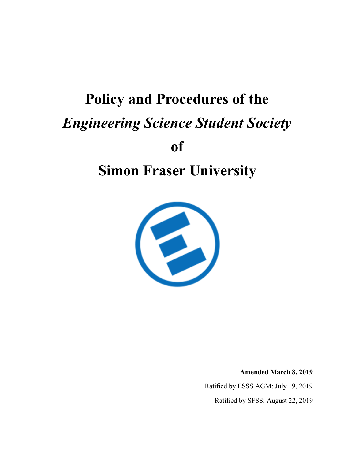# **Policy and Procedures of the** *Engineering Science Student Society* **of**

## **Simon Fraser University**



**Amended March 8, 2019**

Ratified by ESSS AGM: July 19, 2019

Ratified by SFSS: August 22, 2019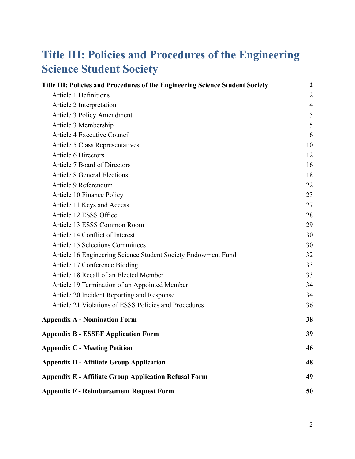## <span id="page-1-0"></span>**Title III: Policies and Procedures of the Engineering Science Student Society**

| Title III: Policies and Procedures of the Engineering Science Student Society | $\boldsymbol{2}$ |
|-------------------------------------------------------------------------------|------------------|
| <b>Article 1 Definitions</b>                                                  | $\overline{2}$   |
| Article 2 Interpretation                                                      | $\overline{4}$   |
| Article 3 Policy Amendment                                                    | 5                |
| Article 3 Membership                                                          | 5                |
| Article 4 Executive Council                                                   | 6                |
| Article 5 Class Representatives                                               | 10               |
| Article 6 Directors                                                           | 12               |
| Article 7 Board of Directors                                                  | 16               |
| <b>Article 8 General Elections</b>                                            | 18               |
| Article 9 Referendum                                                          | 22               |
| Article 10 Finance Policy                                                     | 23               |
| Article 11 Keys and Access                                                    | 27               |
| Article 12 ESSS Office                                                        | 28               |
| Article 13 ESSS Common Room                                                   | 29               |
| Article 14 Conflict of Interest                                               | 30               |
| <b>Article 15 Selections Committees</b>                                       | 30               |
| Article 16 Engineering Science Student Society Endowment Fund                 | 32               |
| Article 17 Conference Bidding                                                 | 33               |
| Article 18 Recall of an Elected Member                                        | 33               |
| Article 19 Termination of an Appointed Member                                 | 34               |
| Article 20 Incident Reporting and Response                                    | 34               |
| Article 21 Violations of ESSS Policies and Procedures                         | 36               |
| <b>Appendix A - Nomination Form</b>                                           | 38               |
| <b>Appendix B - ESSEF Application Form</b>                                    | 39               |
| <b>Appendix C - Meeting Petition</b>                                          | 46               |
| <b>Appendix D - Affiliate Group Application</b>                               | 48               |
| <b>Appendix E - Affiliate Group Application Refusal Form</b>                  | 49               |
| <b>Appendix F - Reimbursement Request Form</b>                                | 50               |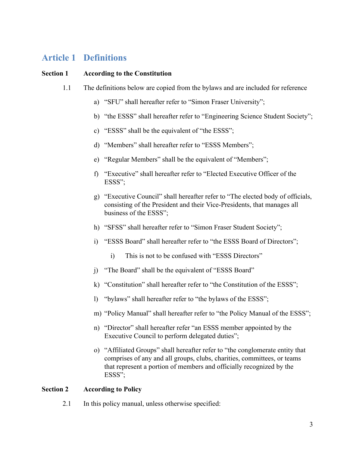## <span id="page-2-0"></span>**Article 1 Definitions**

#### **Section 1 According to the Constitution**

- 1.1 The definitions below are copied from the bylaws and are included for reference
	- a) "SFU" shall hereafter refer to "Simon Fraser University";
	- b) "the ESSS" shall hereafter refer to "Engineering Science Student Society";
	- c) "ESSS" shall be the equivalent of "the ESSS";
	- d) "Members" shall hereafter refer to "ESSS Members";
	- e) "Regular Members" shall be the equivalent of "Members";
	- f) "Executive" shall hereafter refer to "Elected Executive Officer of the ESSS";
	- g) "Executive Council" shall hereafter refer to "The elected body of officials, consisting of the President and their Vice-Presidents, that manages all business of the ESSS";
	- h) "SFSS" shall hereafter refer to "Simon Fraser Student Society";
	- i) "ESSS Board" shall hereafter refer to "the ESSS Board of Directors";
		- i) This is not to be confused with "ESSS Directors"
	- j) "The Board" shall be the equivalent of "ESSS Board"
	- k) "Constitution" shall hereafter refer to "the Constitution of the ESSS";
	- l) "bylaws" shall hereafter refer to "the bylaws of the ESSS";
	- m) "Policy Manual" shall hereafter refer to "the Policy Manual of the ESSS";
	- n) "Director" shall hereafter refer "an ESSS member appointed by the Executive Council to perform delegated duties";
	- o) "Affiliated Groups" shall hereafter refer to "the conglomerate entity that comprises of any and all groups, clubs, charities, committees, or teams that represent a portion of members and officially recognized by the ESSS";

#### **Section 2 According to Policy**

2.1 In this policy manual, unless otherwise specified: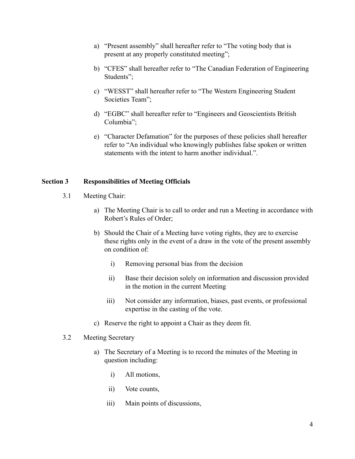- a) "Present assembly" shall hereafter refer to "The voting body that is present at any properly constituted meeting";
- b) "CFES" shall hereafter refer to "The Canadian Federation of Engineering Students";
- c) "WESST" shall hereafter refer to "The Western Engineering Student Societies Team";
- d) "EGBC" shall hereafter refer to "Engineers and Geoscientists British Columbia";
- e) "Character Defamation" for the purposes of these policies shall hereafter refer to "An individual who knowingly publishes false spoken or written statements with the intent to harm another individual.".

#### **Section 3 Responsibilities of Meeting Officials**

- 3.1 Meeting Chair:
	- a) The Meeting Chair is to call to order and run a Meeting in accordance with Robert's Rules of Order;
	- b) Should the Chair of a Meeting have voting rights, they are to exercise these rights only in the event of a draw in the vote of the present assembly on condition of:
		- i) Removing personal bias from the decision
		- ii) Base their decision solely on information and discussion provided in the motion in the current Meeting
		- iii) Not consider any information, biases, past events, or professional expertise in the casting of the vote.
	- c) Reserve the right to appoint a Chair as they deem fit.

#### 3.2 Meeting Secretary

- a) The Secretary of a Meeting is to record the minutes of the Meeting in question including:
	- i) All motions,
	- ii) Vote counts,
	- iii) Main points of discussions,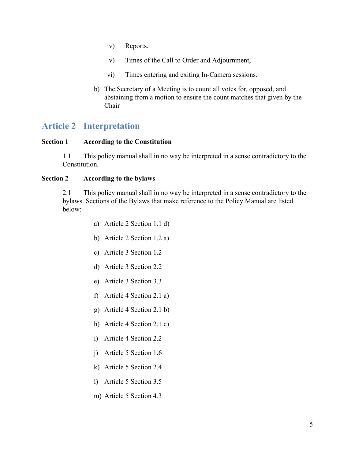- iv) Reports,
- v) Times of the Call to Order and Adjournment,
- vi) Times entering and exiting In-Camera sessions.
- b) The Secretary of a Meeting is to count all votes for, opposed, and abstaining from a motion to ensure the count matches that given by the Chair

### <span id="page-4-0"></span>**Article 2 Interpretation**

#### **Section 1 According to the Constitution**

1.1 This policy manual shall in no way be interpreted in a sense contradictory to the Constitution.

#### **Section 2 According to the bylaws**

2.1 This policy manual shall in no way be interpreted in a sense contradictory to the bylaws. Sections of the Bylaws that make reference to the Policy Manual are listed below:

- a) Article 2 Section 1.1 d)
- b) Article 2 Section 1.2 a)
- c) Article 3 Section 1.2
- d) Article 3 Section 2.2
- e) Article 3 Section 3.3
- f) Article 4 Section 2.1 a)
- g) Article 4 Section 2.1 b)
- h) Article 4 Section 2.1 c)
- i) Article 4 Section 2.2
- j) Article 5 Section 1.6
- k) Article 5 Section 2.4
- l) Article 5 Section 3.5
- m) Article 5 Section 4.3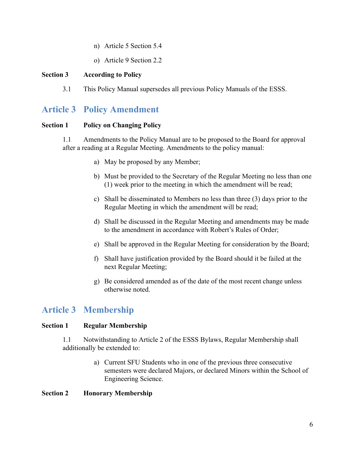- n) Article 5 Section 5.4
- o) Article 9 Section 2.2

#### **Section 3 According to Policy**

3.1 This Policy Manual supersedes all previous Policy Manuals of the ESSS.

### <span id="page-5-0"></span>**Article 3 Policy Amendment**

#### **Section 1 Policy on Changing Policy**

1.1 Amendments to the Policy Manual are to be proposed to the Board for approval after a reading at a Regular Meeting. Amendments to the policy manual:

- a) May be proposed by any Member;
- b) Must be provided to the Secretary of the Regular Meeting no less than one (1) week prior to the meeting in which the amendment will be read;
- c) Shall be disseminated to Members no less than three (3) days prior to the Regular Meeting in which the amendment will be read;
- d) Shall be discussed in the Regular Meeting and amendments may be made to the amendment in accordance with Robert's Rules of Order;
- e) Shall be approved in the Regular Meeting for consideration by the Board;
- f) Shall have justification provided by the Board should it be failed at the next Regular Meeting;
- g) Be considered amended as of the date of the most recent change unless otherwise noted.

## <span id="page-5-1"></span>**Article 3 Membership**

#### **Section 1 Regular Membership**

1.1 Notwithstanding to Article 2 of the ESSS Bylaws, Regular Membership shall additionally be extended to:

> a) Current SFU Students who in one of the previous three consecutive semesters were declared Majors, or declared Minors within the School of Engineering Science.

#### **Section 2 Honorary Membership**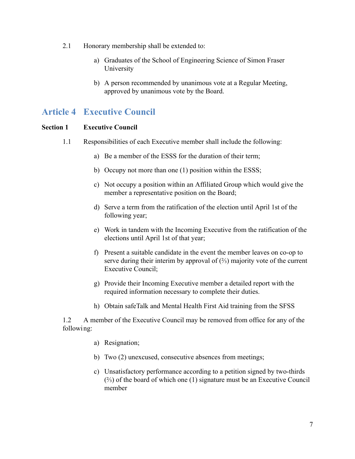- 2.1 Honorary membership shall be extended to:
	- a) Graduates of the School of Engineering Science of Simon Fraser University
	- b) A person recommended by unanimous vote at a Regular Meeting, approved by unanimous vote by the Board.

## <span id="page-6-0"></span>**Article 4 Executive Council**

#### **Section 1 Executive Council**

- 1.1 Responsibilities of each Executive member shall include the following:
	- a) Be a member of the ESSS for the duration of their term;
	- b) Occupy not more than one (1) position within the ESSS;
	- c) Not occupy a position within an Affiliated Group which would give the member a representative position on the Board;
	- d) Serve a term from the ratification of the election until April 1st of the following year;
	- e) Work in tandem with the Incoming Executive from the ratification of the elections until April 1st of that year;
	- f) Present a suitable candidate in the event the member leaves on co-op to serve during their interim by approval of  $(\frac{2}{3})$  majority vote of the current Executive Council;
	- g) Provide their Incoming Executive member a detailed report with the required information necessary to complete their duties.
	- h) Obtain safeTalk and Mental Health First Aid training from the SFSS

1.2 A member of the Executive Council may be removed from office for any of the following:

- a) Resignation;
- b) Two (2) unexcused, consecutive absences from meetings;
- c) Unsatisfactory performance according to a petition signed by two-thirds (⅔) of the board of which one (1) signature must be an Executive Council member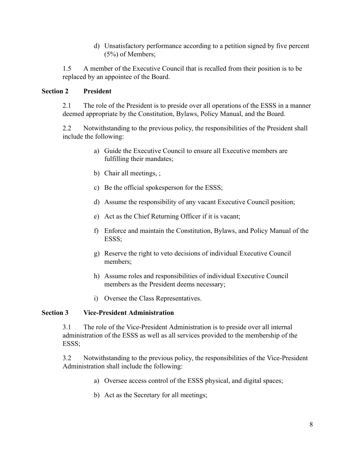d) Unsatisfactory performance according to a petition signed by five percent (5%) of Members;

1.5 A member of the Executive Council that is recalled from their position is to be replaced by an appointee of the Board.

#### **Section 2 President**

2.1 The role of the President is to preside over all operations of the ESSS in a manner deemed appropriate by the Constitution, Bylaws, Policy Manual, and the Board.

2.2 Notwithstanding to the previous policy, the responsibilities of the President shall include the following:

- a) Guide the Executive Council to ensure all Executive members are fulfilling their mandates;
- b) Chair all meetings, ;
- c) Be the official spokesperson for the ESSS;
- d) Assume the responsibility of any vacant Executive Council position;
- e) Act as the Chief Returning Officer if it is vacant;
- f) Enforce and maintain the Constitution, Bylaws, and Policy Manual of the ESSS;
- g) Reserve the right to veto decisions of individual Executive Council members;
- h) Assume roles and responsibilities of individual Executive Council members as the President deems necessary;
- i) Oversee the Class Representatives.

#### **Section 3 Vice-President Administration**

3.1 The role of the Vice-President Administration is to preside over all internal administration of the ESSS as well as all services provided to the membership of the ESSS;

3.2 Notwithstanding to the previous policy, the responsibilities of the Vice-President Administration shall include the following:

- a) Oversee access control of the ESSS physical, and digital spaces;
- b) Act as the Secretary for all meetings;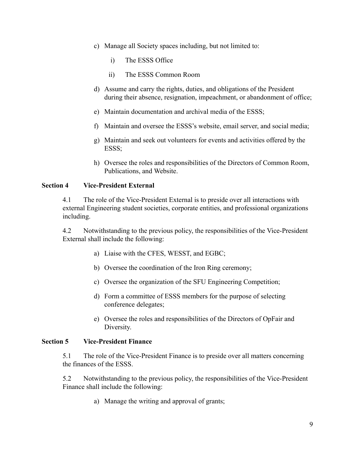- c) Manage all Society spaces including, but not limited to:
	- i) The ESSS Office
	- ii) The ESSS Common Room
- d) Assume and carry the rights, duties, and obligations of the President during their absence, resignation, impeachment, or abandonment of office;
- e) Maintain documentation and archival media of the ESSS;
- f) Maintain and oversee the ESSS's website, email server, and social media;
- g) Maintain and seek out volunteers for events and activities offered by the ESSS;
- h) Oversee the roles and responsibilities of the Directors of Common Room, Publications, and Website.

#### **Section 4 Vice-President External**

4.1 The role of the Vice-President External is to preside over all interactions with external Engineering student societies, corporate entities, and professional organizations including.

4.2 Notwithstanding to the previous policy, the responsibilities of the Vice-President External shall include the following:

- a) Liaise with the CFES, WESST, and EGBC;
- b) Oversee the coordination of the Iron Ring ceremony;
- c) Oversee the organization of the SFU Engineering Competition;
- d) Form a committee of ESSS members for the purpose of selecting conference delegates;
- e) Oversee the roles and responsibilities of the Directors of OpFair and Diversity.

#### **Section 5 Vice-President Finance**

5.1 The role of the Vice-President Finance is to preside over all matters concerning the finances of the ESSS.

5.2 Notwithstanding to the previous policy, the responsibilities of the Vice-President Finance shall include the following:

a) Manage the writing and approval of grants;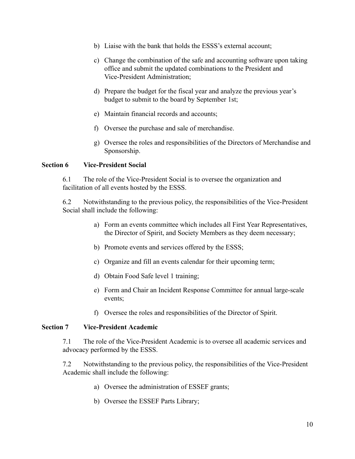- b) Liaise with the bank that holds the ESSS's external account;
- c) Change the combination of the safe and accounting software upon taking office and submit the updated combinations to the President and Vice-President Administration;
- d) Prepare the budget for the fiscal year and analyze the previous year's budget to submit to the board by September 1st;
- e) Maintain financial records and accounts;
- f) Oversee the purchase and sale of merchandise.
- g) Oversee the roles and responsibilities of the Directors of Merchandise and Sponsorship.

#### **Section 6 Vice-President Social**

6.1 The role of the Vice-President Social is to oversee the organization and facilitation of all events hosted by the ESSS.

6.2 Notwithstanding to the previous policy, the responsibilities of the Vice-President Social shall include the following:

- a) Form an events committee which includes all First Year Representatives, the Director of Spirit, and Society Members as they deem necessary;
- b) Promote events and services offered by the ESSS;
- c) Organize and fill an events calendar for their upcoming term;
- d) Obtain Food Safe level 1 training;
- e) Form and Chair an Incident Response Committee for annual large-scale events;
- f) Oversee the roles and responsibilities of the Director of Spirit.

#### **Section 7 Vice-President Academic**

7.1 The role of the Vice-President Academic is to oversee all academic services and advocacy performed by the ESSS.

7.2 Notwithstanding to the previous policy, the responsibilities of the Vice-President Academic shall include the following:

- a) Oversee the administration of ESSEF grants;
- b) Oversee the ESSEF Parts Library;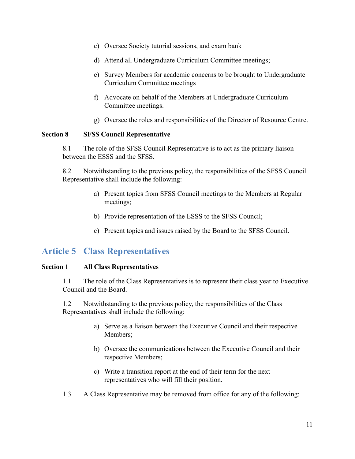- c) Oversee Society tutorial sessions, and exam bank
- d) Attend all Undergraduate Curriculum Committee meetings;
- e) Survey Members for academic concerns to be brought to Undergraduate Curriculum Committee meetings
- f) Advocate on behalf of the Members at Undergraduate Curriculum Committee meetings.
- g) Oversee the roles and responsibilities of the Director of Resource Centre.

#### **Section 8 SFSS Council Representative**

8.1 The role of the SFSS Council Representative is to act as the primary liaison between the ESSS and the SFSS.

8.2 Notwithstanding to the previous policy, the responsibilities of the SFSS Council Representative shall include the following:

- a) Present topics from SFSS Council meetings to the Members at Regular meetings;
- b) Provide representation of the ESSS to the SFSS Council;
- c) Present topics and issues raised by the Board to the SFSS Council.

## <span id="page-10-0"></span>**Article 5 Class Representatives**

#### **Section 1 All Class Representatives**

1.1 The role of the Class Representatives is to represent their class year to Executive Council and the Board.

1.2 Notwithstanding to the previous policy, the responsibilities of the Class Representatives shall include the following:

- a) Serve as a liaison between the Executive Council and their respective Members;
- b) Oversee the communications between the Executive Council and their respective Members;
- c) Write a transition report at the end of their term for the next representatives who will fill their position.
- 1.3 A Class Representative may be removed from office for any of the following: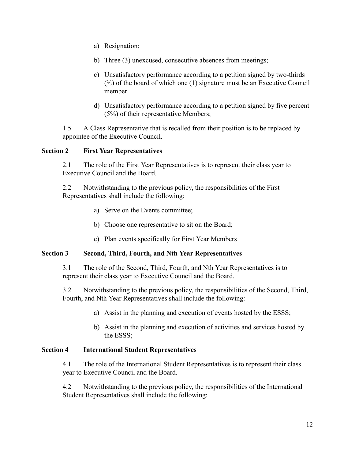- a) Resignation;
- b) Three (3) unexcused, consecutive absences from meetings;
- c) Unsatisfactory performance according to a petition signed by two-thirds (⅔) of the board of which one (1) signature must be an Executive Council member
- d) Unsatisfactory performance according to a petition signed by five percent (5%) of their representative Members;

1.5 A Class Representative that is recalled from their position is to be replaced by appointee of the Executive Council.

#### **Section 2 First Year Representatives**

2.1 The role of the First Year Representatives is to represent their class year to Executive Council and the Board.

2.2 Notwithstanding to the previous policy, the responsibilities of the First Representatives shall include the following:

- a) Serve on the Events committee;
- b) Choose one representative to sit on the Board;
- c) Plan events specifically for First Year Members

#### **Section 3 Second, Third, Fourth, and Nth Year Representatives**

3.1 The role of the Second, Third, Fourth, and Nth Year Representatives is to represent their class year to Executive Council and the Board.

3.2 Notwithstanding to the previous policy, the responsibilities of the Second, Third, Fourth, and Nth Year Representatives shall include the following:

- a) Assist in the planning and execution of events hosted by the ESSS;
- b) Assist in the planning and execution of activities and services hosted by the ESSS;

#### **Section 4 International Student Representatives**

4.1 The role of the International Student Representatives is to represent their class year to Executive Council and the Board.

4.2 Notwithstanding to the previous policy, the responsibilities of the International Student Representatives shall include the following: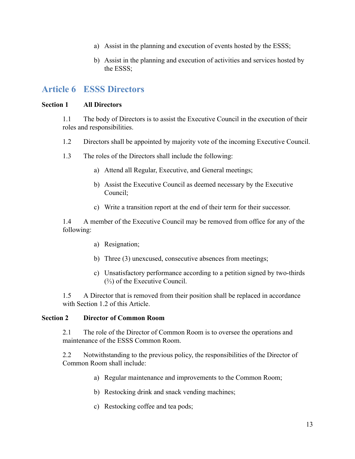- a) Assist in the planning and execution of events hosted by the ESSS;
- b) Assist in the planning and execution of activities and services hosted by the ESSS;

### <span id="page-12-0"></span>**Article 6 ESSS Directors**

#### **Section 1 All Directors**

1.1 The body of Directors is to assist the Executive Council in the execution of their roles and responsibilities.

- 1.2 Directors shall be appointed by majority vote of the incoming Executive Council.
- 1.3 The roles of the Directors shall include the following:
	- a) Attend all Regular, Executive, and General meetings;
	- b) Assist the Executive Council as deemed necessary by the Executive Council;
	- c) Write a transition report at the end of their term for their successor.

1.4 A member of the Executive Council may be removed from office for any of the following:

- a) Resignation;
- b) Three (3) unexcused, consecutive absences from meetings;
- c) Unsatisfactory performance according to a petition signed by two-thirds  $(½)$  of the Executive Council.

1.5 A Director that is removed from their position shall be replaced in accordance with Section 1.2 of this Article.

#### **Section 2 Director of Common Room**

2.1 The role of the Director of Common Room is to oversee the operations and maintenance of the ESSS Common Room.

2.2 Notwithstanding to the previous policy, the responsibilities of the Director of Common Room shall include:

- a) Regular maintenance and improvements to the Common Room;
- b) Restocking drink and snack vending machines;
- c) Restocking coffee and tea pods;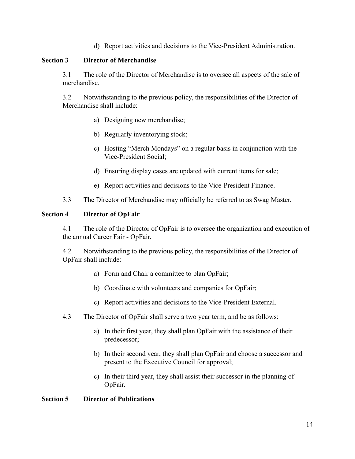d) Report activities and decisions to the Vice-President Administration.

#### **Section 3 Director of Merchandise**

3.1 The role of the Director of Merchandise is to oversee all aspects of the sale of merchandise.

3.2 Notwithstanding to the previous policy, the responsibilities of the Director of Merchandise shall include:

- a) Designing new merchandise;
- b) Regularly inventorying stock;
- c) Hosting "Merch Mondays" on a regular basis in conjunction with the Vice-President Social;
- d) Ensuring display cases are updated with current items for sale;
- e) Report activities and decisions to the Vice-President Finance.
- 3.3 The Director of Merchandise may officially be referred to as Swag Master.

#### **Section 4 Director of OpFair**

4.1 The role of the Director of OpFair is to oversee the organization and execution of the annual Career Fair - OpFair.

4.2 Notwithstanding to the previous policy, the responsibilities of the Director of OpFair shall include:

- a) Form and Chair a committee to plan OpFair;
- b) Coordinate with volunteers and companies for OpFair;
- c) Report activities and decisions to the Vice-President External.
- 4.3 The Director of OpFair shall serve a two year term, and be as follows:
	- a) In their first year, they shall plan OpFair with the assistance of their predecessor;
	- b) In their second year, they shall plan OpFair and choose a successor and present to the Executive Council for approval;
	- c) In their third year, they shall assist their successor in the planning of OpFair.

#### **Section 5 Director of Publications**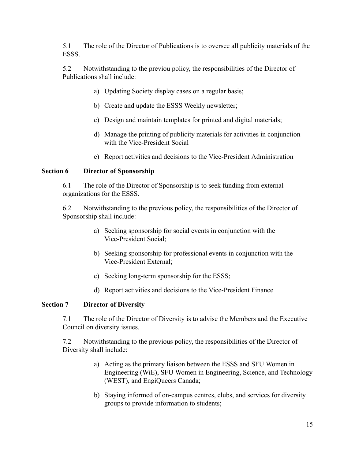5.1 The role of the Director of Publications is to oversee all publicity materials of the ESSS.

5.2 Notwithstanding to the previou policy, the responsibilities of the Director of Publications shall include:

- a) Updating Society display cases on a regular basis;
- b) Create and update the ESSS Weekly newsletter;
- c) Design and maintain templates for printed and digital materials;
- d) Manage the printing of publicity materials for activities in conjunction with the Vice-President Social
- e) Report activities and decisions to the Vice-President Administration

#### **Section 6 Director of Sponsorship**

6.1 The role of the Director of Sponsorship is to seek funding from external organizations for the ESSS.

6.2 Notwithstanding to the previous policy, the responsibilities of the Director of Sponsorship shall include:

- a) Seeking sponsorship for social events in conjunction with the Vice-President Social;
- b) Seeking sponsorship for professional events in conjunction with the Vice-President External;
- c) Seeking long-term sponsorship for the ESSS;
- d) Report activities and decisions to the Vice-President Finance

#### **Section 7 Director of Diversity**

7.1 The role of the Director of Diversity is to advise the Members and the Executive Council on diversity issues.

7.2 Notwithstanding to the previous policy, the responsibilities of the Director of Diversity shall include:

- a) Acting as the primary liaison between the ESSS and SFU Women in Engineering (WiE), SFU Women in Engineering, Science, and Technology (WEST), and EngiQueers Canada;
- b) Staying informed of on-campus centres, clubs, and services for diversity groups to provide information to students;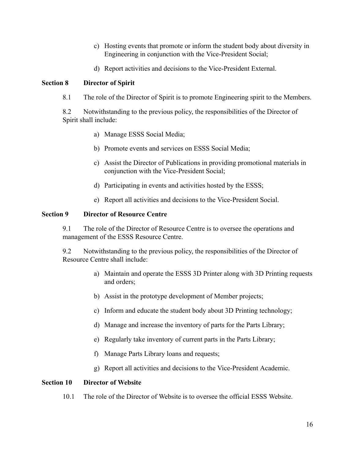- c) Hosting events that promote or inform the student body about diversity in Engineering in conjunction with the Vice-President Social;
- d) Report activities and decisions to the Vice-President External.

#### **Section 8 Director of Spirit**

8.1 The role of the Director of Spirit is to promote Engineering spirit to the Members.

8.2 Notwithstanding to the previous policy, the responsibilities of the Director of Spirit shall include:

- a) Manage ESSS Social Media;
- b) Promote events and services on ESSS Social Media;
- c) Assist the Director of Publications in providing promotional materials in conjunction with the Vice-President Social;
- d) Participating in events and activities hosted by the ESSS;
- e) Report all activities and decisions to the Vice-President Social.

#### **Section 9 Director of Resource Centre**

9.1 The role of the Director of Resource Centre is to oversee the operations and management of the ESSS Resource Centre.

9.2 Notwithstanding to the previous policy, the responsibilities of the Director of Resource Centre shall include:

- a) Maintain and operate the ESSS 3D Printer along with 3D Printing requests and orders;
- b) Assist in the prototype development of Member projects;
- c) Inform and educate the student body about 3D Printing technology;
- d) Manage and increase the inventory of parts for the Parts Library;
- e) Regularly take inventory of current parts in the Parts Library;
- f) Manage Parts Library loans and requests;
- g) Report all activities and decisions to the Vice-President Academic.

#### **Section 10 Director of Website**

10.1 The role of the Director of Website is to oversee the official ESSS Website.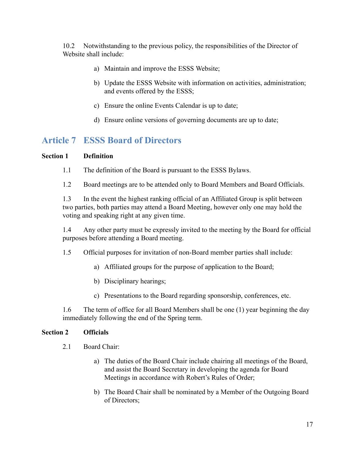10.2 Notwithstanding to the previous policy, the responsibilities of the Director of Website shall include:

- a) Maintain and improve the ESSS Website;
- b) Update the ESSS Website with information on activities, administration; and events offered by the ESSS;
- c) Ensure the online Events Calendar is up to date;
- d) Ensure online versions of governing documents are up to date;

## <span id="page-16-0"></span>**Article 7 ESSS Board of Directors**

#### **Section 1 Definition**

- 1.1 The definition of the Board is pursuant to the ESSS Bylaws.
- 1.2 Board meetings are to be attended only to Board Members and Board Officials.

1.3 In the event the highest ranking official of an Affiliated Group is split between two parties, both parties may attend a Board Meeting, however only one may hold the voting and speaking right at any given time.

1.4 Any other party must be expressly invited to the meeting by the Board for official purposes before attending a Board meeting.

- 1.5 Official purposes for invitation of non-Board member parties shall include:
	- a) Affiliated groups for the purpose of application to the Board;
	- b) Disciplinary hearings;
	- c) Presentations to the Board regarding sponsorship, conferences, etc.

1.6 The term of office for all Board Members shall be one (1) year beginning the day immediately following the end of the Spring term.

#### **Section 2 Officials**

- 2.1 Board Chair:
	- a) The duties of the Board Chair include chairing all meetings of the Board, and assist the Board Secretary in developing the agenda for Board Meetings in accordance with Robert's Rules of Order;
	- b) The Board Chair shall be nominated by a Member of the Outgoing Board of Directors;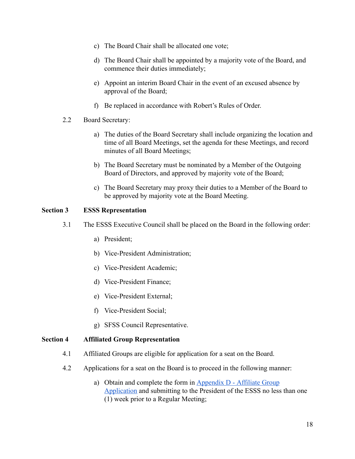- c) The Board Chair shall be allocated one vote;
- d) The Board Chair shall be appointed by a majority vote of the Board, and commence their duties immediately;
- e) Appoint an interim Board Chair in the event of an excused absence by approval of the Board;
- f) Be replaced in accordance with Robert's Rules of Order.
- 2.2 Board Secretary:
	- a) The duties of the Board Secretary shall include organizing the location and time of all Board Meetings, set the agenda for these Meetings, and record minutes of all Board Meetings;
	- b) The Board Secretary must be nominated by a Member of the Outgoing Board of Directors, and approved by majority vote of the Board;
	- c) The Board Secretary may proxy their duties to a Member of the Board to be approved by majority vote at the Board Meeting.

#### **Section 3 ESSS Representation**

- 3.1 The ESSS Executive Council shall be placed on the Board in the following order:
	- a) President;
	- b) Vice-President Administration;
	- c) Vice-President Academic;
	- d) Vice-President Finance;
	- e) Vice-President External;
	- f) Vice-President Social;
	- g) SFSS Council Representative.

#### **Section 4 Affiliated Group Representation**

- 4.1 Affiliated Groups are eligible for application for a seat on the Board.
- 4.2 Applications for a seat on the Board is to proceed in the following manner:
	- a) Obtain and complete the form in [Appendix D Affiliate Group](#page-49-0) [Application](#page-49-0)and submitting to the President of the ESSS no less than one (1) week prior to a Regular Meeting;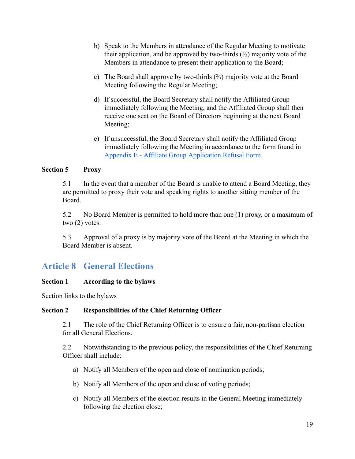- b) Speak to the Members in attendance of the Regular Meeting to motivate their application, and be approved by two-thirds  $(\frac{2}{3})$  majority vote of the Members in attendance to present their application to the Board;
- c) The Board shall approve by two-thirds (⅔) majority vote at the Board Meeting following the Regular Meeting;
- d) If successful, the Board Secretary shall notify the Affiliated Group immediately following the Meeting, and the Affiliated Group shall then receive one seat on the Board of Directors beginning at the next Board Meeting;
- e) If unsuccessful, the Board Secretary shall notify the Affiliated Group immediately following the Meeting in accordance to the form found in [Appendix E - Affiliate Group Application Refusal Form](#page-50-0) .

#### **Section 5 Proxy**

5.1 In the event that a member of the Board is unable to attend a Board Meeting, they are permitted to proxy their vote and speaking rights to another sitting member of the Board.

5.2 No Board Member is permitted to hold more than one (1) proxy, or a maximum of two (2) votes.

5.3 Approval of a proxy is by majority vote of the Board at the Meeting in which the Board Member is absent.

## <span id="page-18-0"></span>**Article 8 General Elections**

#### **Section 1 According to the bylaws**

Section links to the bylaws

#### **Section 2 Responsibilities of the Chief Returning Officer**

2.1 The role of the Chief Returning Officer is to ensure a fair, non-partisan election for all General Elections.

2.2 Notwithstanding to the previous policy, the responsibilities of the Chief Returning Officer shall include:

- a) Notify all Members of the open and close of nomination periods;
- b) Notify all Members of the open and close of voting periods;
- c) Notify all Members of the election results in the General Meeting immediately following the election close;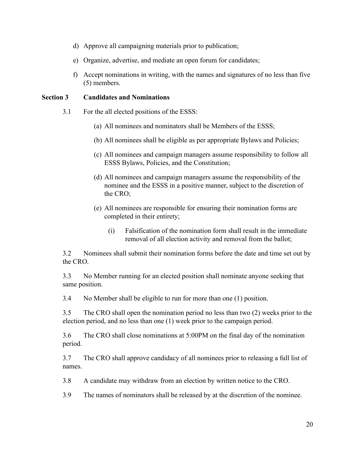- d) Approve all campaigning materials prior to publication;
- e) Organize, advertise, and mediate an open forum for candidates;
- f) Accept nominations in writing, with the names and signatures of no less than five (5) members.

#### **Section 3 Candidates and Nominations**

- 3.1 For the all elected positions of the ESSS:
	- (a) All nominees and nominators shall be Members of the ESSS;
	- (b) All nominees shall be eligible as per appropriate Bylaws and Policies;
	- (c) All nominees and campaign managers assume responsibility to follow all ESSS Bylaws, Policies, and the Constitution;
	- (d) All nominees and campaign managers assume the responsibility of the nominee and the ESSS in a positive manner, subject to the discretion of the CRO;
	- (e) All nominees are responsible for ensuring their nomination forms are completed in their entirety;
		- (i) Falsification of the nomination form shall result in the immediate removal of all election activity and removal from the ballot;

3.2 Nominees shall submit their nomination forms before the date and time set out by the CRO.

3.3 No Member running for an elected position shall nominate anyone seeking that same position.

3.4 No Member shall be eligible to run for more than one (1) position.

3.5 The CRO shall open the nomination period no less than two (2) weeks prior to the election period, and no less than one (1) week prior to the campaign period.

3.6 The CRO shall close nominations at 5:00PM on the final day of the nomination period.

3.7 The CRO shall approve candidacy of all nominees prior to releasing a full list of names.

3.8 A candidate may withdraw from an election by written notice to the CRO.

3.9 The names of nominators shall be released by at the discretion of the nominee.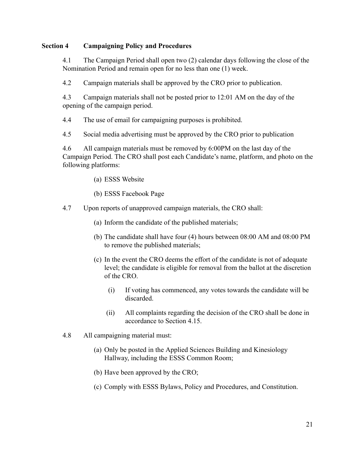#### **Section 4 Campaigning Policy and Procedures**

4.1 The Campaign Period shall open two (2) calendar days following the close of the Nomination Period and remain open for no less than one (1) week.

4.2 Campaign materials shall be approved by the CRO prior to publication.

4.3 Campaign materials shall not be posted prior to 12:01 AM on the day of the opening of the campaign period.

4.4 The use of email for campaigning purposes is prohibited.

4.5 Social media advertising must be approved by the CRO prior to publication

4.6 All campaign materials must be removed by 6:00PM on the last day of the Campaign Period. The CRO shall post each Candidate's name, platform, and photo on the following platforms:

- (a) ESSS Website
- (b) ESSS Facebook Page
- 4.7 Upon reports of unapproved campaign materials, the CRO shall:
	- (a) Inform the candidate of the published materials;
	- (b) The candidate shall have four (4) hours between 08:00 AM and 08:00 PM to remove the published materials;
	- (c) In the event the CRO deems the effort of the candidate is not of adequate level; the candidate is eligible for removal from the ballot at the discretion of the CRO.
		- (i) If voting has commenced, any votes towards the candidate will be discarded.
		- (ii) All complaints regarding the decision of the CRO shall be done in accordance to Section 4.15.
- 4.8 All campaigning material must:
	- (a) Only be posted in the Applied Sciences Building and Kinesiology Hallway, including the ESSS Common Room;
	- (b) Have been approved by the CRO;
	- (c) Comply with ESSS Bylaws, Policy and Procedures, and Constitution.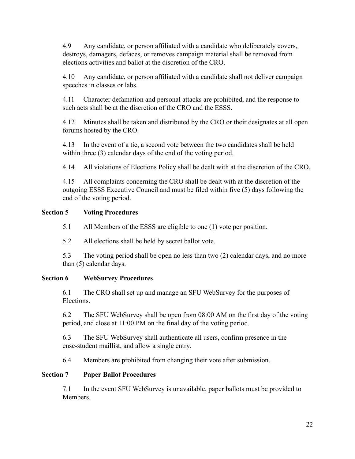4.9 Any candidate, or person affiliated with a candidate who deliberately covers, destroys, damagers, defaces, or removes campaign material shall be removed from elections activities and ballot at the discretion of the CRO.

4.10 Any candidate, or person affiliated with a candidate shall not deliver campaign speeches in classes or labs.

4.11 Character defamation and personal attacks are prohibited, and the response to such acts shall be at the discretion of the CRO and the ESSS.

4.12 Minutes shall be taken and distributed by the CRO or their designates at all open forums hosted by the CRO.

4.13 In the event of a tie, a second vote between the two candidates shall be held within three (3) calendar days of the end of the voting period.

4.14 All violations of Elections Policy shall be dealt with at the discretion of the CRO.

4.15 All complaints concerning the CRO shall be dealt with at the discretion of the outgoing ESSS Executive Council and must be filed within five (5) days following the end of the voting period.

#### **Section 5 Voting Procedures**

5.1 All Members of the ESSS are eligible to one (1) vote per position.

5.2 All elections shall be held by secret ballot vote.

5.3 The voting period shall be open no less than two (2) calendar days, and no more than (5) calendar days.

#### **Section 6 WebSurvey Procedures**

6.1 The CRO shall set up and manage an SFU WebSurvey for the purposes of Elections.

6.2 The SFU WebSurvey shall be open from 08:00 AM on the first day of the voting period, and close at 11:00 PM on the final day of the voting period.

6.3 The SFU WebSurvey shall authenticate all users, confirm presence in the ensc-student maillist, and allow a single entry.

6.4 Members are prohibited from changing their vote after submission.

#### **Section 7 Paper Ballot Procedures**

7.1 In the event SFU WebSurvey is unavailable, paper ballots must be provided to Members.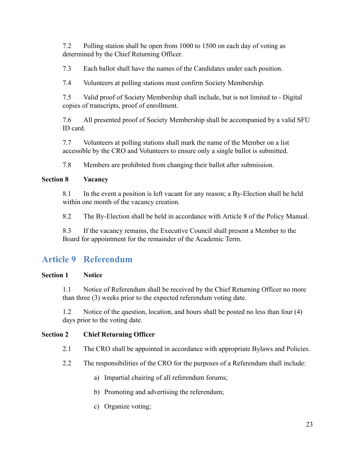7.2 Polling station shall be open from 1000 to 1500 on each day of voting as determined by the Chief Returning Officer.

7.3 Each ballot shall have the names of the Candidates under each position.

7.4 Volunteers at polling stations must confirm Society Membership.

7.5 Valid proof of Society Membership shall include, but is not limited to - Digital copies of transcripts, proof of enrollment.

7.6 All presented proof of Society Membership shall be accompanied by a valid SFU ID card.

7.7 Volunteers at polling stations shall mark the name of the Member on a list accessible by the CRO and Volunteers to ensure only a single ballot is submitted.

7.8 Members are prohibited from changing their ballot after submission.

#### **Section 8 Vacancy**

8.1 In the event a position is left vacant for any reason; a By-Election shall be held within one month of the vacancy creation.

8.2 The By-Election shall be held in accordance with Article 8 of the Policy Manual.

8.3 If the vacancy remains, the Executive Council shall present a Member to the Board for appointment for the remainder of the Academic Term.

## <span id="page-22-0"></span>**Article 9 Referendum**

#### **Section 1 Notice**

1.1 Notice of Referendum shall be received by the Chief Returning Officer no more than three (3) weeks prior to the expected referendum voting date.

1.2 Notice of the question, location, and hours shall be posted no less than four (4) days prior to the voting date.

#### **Section 2 Chief Returning Officer**

- 2.1 The CRO shall be appointed in accordance with appropriate Bylaws and Policies.
- 2.2 The responsibilities of the CRO for the purposes of a Referendum shall include:
	- a) Impartial chairing of all referendum forums;
	- b) Promoting and advertising the referendum;
	- c) Organize voting;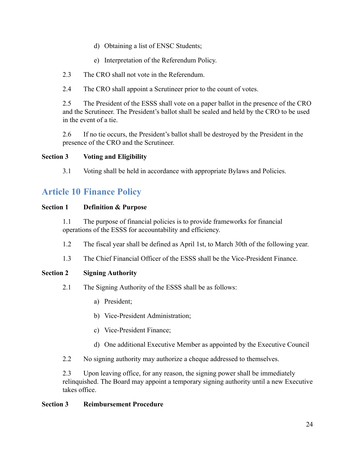- d) Obtaining a list of ENSC Students;
- e) Interpretation of the Referendum Policy.
- 2.3 The CRO shall not vote in the Referendum.
- 2.4 The CRO shall appoint a Scrutineer prior to the count of votes.

2.5 The President of the ESSS shall vote on a paper ballot in the presence of the CRO and the Scrutineer. The President's ballot shall be sealed and held by the CRO to be used in the event of a tie.

2.6 If no tie occurs, the President's ballot shall be destroyed by the President in the presence of the CRO and the Scrutineer.

#### **Section 3 Voting and Eligibility**

3.1 Voting shall be held in accordance with appropriate Bylaws and Policies.

## <span id="page-23-0"></span>**Article 10 Finance Policy**

#### **Section 1 Definition & Purpose**

1.1 The purpose of financial policies is to provide frameworks for financial operations of the ESSS for accountability and efficiency.

- 1.2 The fiscal year shall be defined as April 1st, to March 30th of the following year.
- 1.3 The Chief Financial Officer of the ESSS shall be the Vice-President Finance.

#### **Section 2 Signing Authority**

- 2.1 The Signing Authority of the ESSS shall be as follows:
	- a) President;
	- b) Vice-President Administration;
	- c) Vice-President Finance;
	- d) One additional Executive Member as appointed by the Executive Council
- 2.2 No signing authority may authorize a cheque addressed to themselves.

2.3 Upon leaving office, for any reason, the signing power shall be immediately relinquished. The Board may appoint a temporary signing authority until a new Executive takes office.

#### **Section 3 Reimbursement Procedure**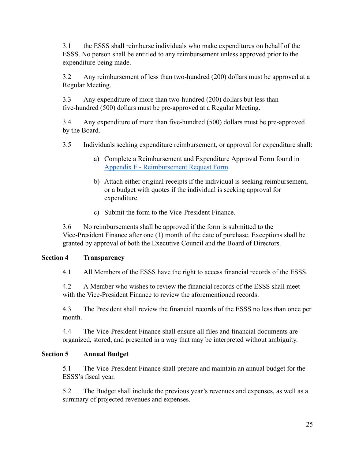3.1 the ESSS shall reimburse individuals who make expenditures on behalf of the ESSS. No person shall be entitled to any reimbursement unless approved prior to the expenditure being made.

3.2 Any reimbursement of less than two-hundred (200) dollars must be approved at a Regular Meeting.

3.3 Any expenditure of more than two-hundred (200) dollars but less than five-hundred (500) dollars must be pre-approved at a Regular Meeting.

3.4 Any expenditure of more than five-hundred (500) dollars must be pre-approved by the Board.

3.5 Individuals seeking expenditure reimbursement, or approval for expenditure shall:

- a) Complete a Reimbursement and Expenditure Approval Form found in [Appendix F - Reimbursement Request Form .](#page-51-0)
- b) Attach either original receipts if the individual is seeking reimbursement, or a budget with quotes if the individual is seeking approval for expenditure.
- c) Submit the form to the Vice-President Finance.

3.6 No reimbursements shall be approved if the form is submitted to the Vice-President Finance after one (1) month of the date of purchase. Exceptions shall be granted by approval of both the Executive Council and the Board of Directors.

#### **Section 4 Transparency**

4.1 All Members of the ESSS have the right to access financial records of the ESSS.

4.2 A Member who wishes to review the financial records of the ESSS shall meet with the Vice-President Finance to review the aforementioned records.

4.3 The President shall review the financial records of the ESSS no less than once per month.

4.4 The Vice-President Finance shall ensure all files and financial documents are organized, stored, and presented in a way that may be interpreted without ambiguity.

#### **Section 5 Annual Budget**

5.1 The Vice-President Finance shall prepare and maintain an annual budget for the ESSS's fiscal year.

5.2 The Budget shall include the previous year's revenues and expenses, as well as a summary of projected revenues and expenses.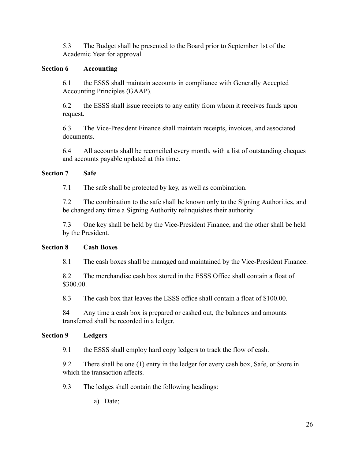5.3 The Budget shall be presented to the Board prior to September 1st of the Academic Year for approval.

#### **Section 6 Accounting**

6.1 the ESSS shall maintain accounts in compliance with Generally Accepted Accounting Principles (GAAP).

6.2 the ESSS shall issue receipts to any entity from whom it receives funds upon request.

6.3 The Vice-President Finance shall maintain receipts, invoices, and associated documents.

6.4 All accounts shall be reconciled every month, with a list of outstanding cheques and accounts payable updated at this time.

#### **Section 7 Safe**

7.1 The safe shall be protected by key, as well as combination.

7.2 The combination to the safe shall be known only to the Signing Authorities, and be changed any time a Signing Authority relinquishes their authority.

7.3 One key shall be held by the Vice-President Finance, and the other shall be held by the President.

#### **Section 8 Cash Boxes**

8.1 The cash boxes shall be managed and maintained by the Vice-President Finance.

8.2 The merchandise cash box stored in the ESSS Office shall contain a float of \$300.00.

8.3 The cash box that leaves the ESSS office shall contain a float of \$100.00.

84 Any time a cash box is prepared or cashed out, the balances and amounts transferred shall be recorded in a ledger.

#### **Section 9 Ledgers**

9.1 the ESSS shall employ hard copy ledgers to track the flow of cash.

9.2 There shall be one (1) entry in the ledger for every cash box, Safe, or Store in which the transaction affects.

9.3 The ledges shall contain the following headings:

a) Date;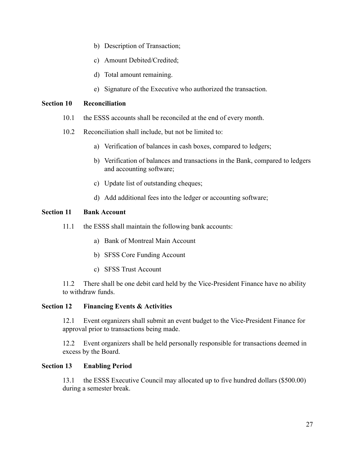- b) Description of Transaction;
- c) Amount Debited/Credited;
- d) Total amount remaining.
- e) Signature of the Executive who authorized the transaction.

#### **Section 10 Reconciliation**

- 10.1 the ESSS accounts shall be reconciled at the end of every month.
- 10.2 Reconciliation shall include, but not be limited to:
	- a) Verification of balances in cash boxes, compared to ledgers;
	- b) Verification of balances and transactions in the Bank, compared to ledgers and accounting software;
	- c) Update list of outstanding cheques;
	- d) Add additional fees into the ledger or accounting software;

#### **Section 11 Bank Account**

- 11.1 the ESSS shall maintain the following bank accounts:
	- a) Bank of Montreal Main Account
	- b) SFSS Core Funding Account
	- c) SFSS Trust Account

11.2 There shall be one debit card held by the Vice-President Finance have no ability to withdraw funds.

#### **Section 12 Financing Events & Activities**

12.1 Event organizers shall submit an event budget to the Vice-President Finance for approval prior to transactions being made.

12.2 Event organizers shall be held personally responsible for transactions deemed in excess by the Board.

#### **Section 13 Enabling Period**

13.1 the ESSS Executive Council may allocated up to five hundred dollars (\$500.00) during a semester break.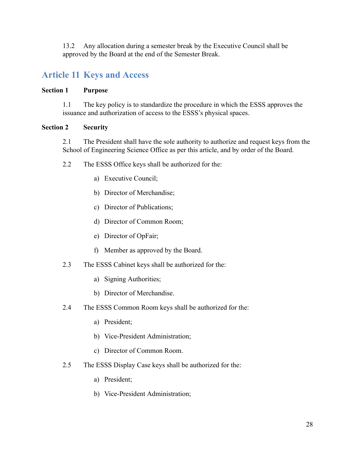13.2 Any allocation during a semester break by the Executive Council shall be approved by the Board at the end of the Semester Break.

## <span id="page-27-0"></span>**Article 11 Keys and Access**

#### **Section 1 Purpose**

1.1 The key policy is to standardize the procedure in which the ESSS approves the issuance and authorization of access to the ESSS's physical spaces.

#### **Section 2 Security**

2.1 The President shall have the sole authority to authorize and request keys from the School of Engineering Science Office as per this article, and by order of the Board.

- 2.2 The ESSS Office keys shall be authorized for the:
	- a) Executive Council;
	- b) Director of Merchandise;
	- c) Director of Publications;
	- d) Director of Common Room;
	- e) Director of OpFair;
	- f) Member as approved by the Board.
- 2.3 The ESSS Cabinet keys shall be authorized for the:
	- a) Signing Authorities;
	- b) Director of Merchandise.
- 2.4 The ESSS Common Room keys shall be authorized for the:
	- a) President;
	- b) Vice-President Administration;
	- c) Director of Common Room.
- 2.5 The ESSS Display Case keys shall be authorized for the:
	- a) President;
	- b) Vice-President Administration;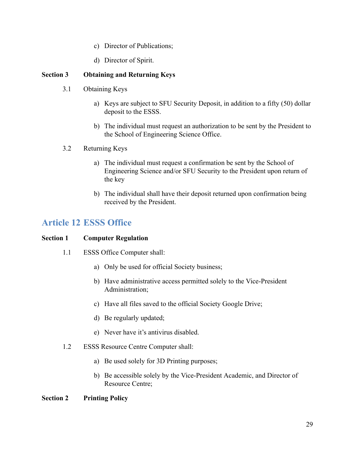- c) Director of Publications;
- d) Director of Spirit.

#### **Section 3 Obtaining and Returning Keys**

- 3.1 Obtaining Keys
	- a) Keys are subject to SFU Security Deposit, in addition to a fifty (50) dollar deposit to the ESSS.
	- b) The individual must request an authorization to be sent by the President to the School of Engineering Science Office.
- 3.2 Returning Keys
	- a) The individual must request a confirmation be sent by the School of Engineering Science and/or SFU Security to the President upon return of the key
	- b) The individual shall have their deposit returned upon confirmation being received by the President.

### <span id="page-28-0"></span>**Article 12 ESSS Office**

#### **Section 1 Computer Regulation**

- 1.1 ESSS Office Computer shall:
	- a) Only be used for official Society business;
	- b) Have administrative access permitted solely to the Vice-President Administration;
	- c) Have all files saved to the official Society Google Drive;
	- d) Be regularly updated;
	- e) Never have it's antivirus disabled.
- 1.2 ESSS Resource Centre Computer shall:
	- a) Be used solely for 3D Printing purposes;
	- b) Be accessible solely by the Vice-President Academic, and Director of Resource Centre;

#### **Section 2 Printing Policy**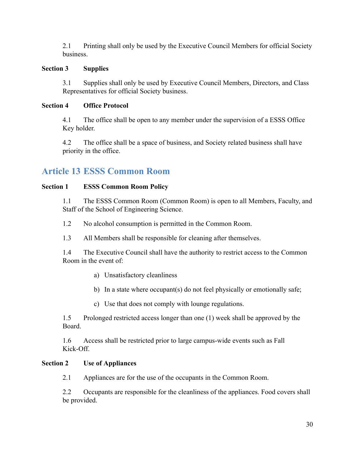2.1 Printing shall only be used by the Executive Council Members for official Society business.

#### **Section 3 Supplies**

3.1 Supplies shall only be used by Executive Council Members, Directors, and Class Representatives for official Society business.

#### **Section 4 Office Protocol**

4.1 The office shall be open to any member under the supervision of a ESSS Office Key holder.

4.2 The office shall be a space of business, and Society related business shall have priority in the office.

## <span id="page-29-0"></span>**Article 13 ESSS Common Room**

#### **Section 1 ESSS Common Room Policy**

1.1 The ESSS Common Room (Common Room) is open to all Members, Faculty, and Staff of the School of Engineering Science.

1.2 No alcohol consumption is permitted in the Common Room.

1.3 All Members shall be responsible for cleaning after themselves.

1.4 The Executive Council shall have the authority to restrict access to the Common Room in the event of:

- a) Unsatisfactory cleanliness
- b) In a state where occupant(s) do not feel physically or emotionally safe;
- c) Use that does not comply with lounge regulations.

1.5 Prolonged restricted access longer than one (1) week shall be approved by the Board.

1.6 Access shall be restricted prior to large campus-wide events such as Fall Kick-Off.

#### **Section 2 Use of Appliances**

2.1 Appliances are for the use of the occupants in the Common Room.

2.2 Occupants are responsible for the cleanliness of the appliances. Food covers shall be provided.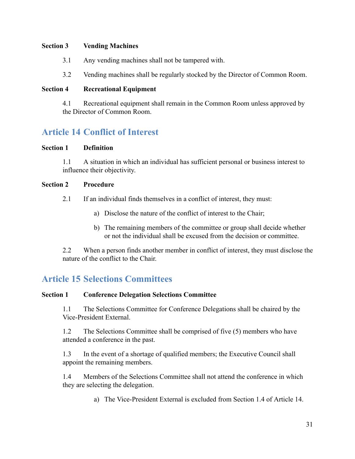#### **Section 3 Vending Machines**

- 3.1 Any vending machines shall not be tampered with.
- 3.2 Vending machines shall be regularly stocked by the Director of Common Room.

#### **Section 4 Recreational Equipment**

4.1 Recreational equipment shall remain in the Common Room unless approved by the Director of Common Room.

## <span id="page-30-0"></span>**Article 14 Conflict of Interest**

#### **Section 1 Definition**

1.1 A situation in which an individual has sufficient personal or business interest to influence their objectivity.

#### **Section 2 Procedure**

2.1 If an individual finds themselves in a conflict of interest, they must:

- a) Disclose the nature of the conflict of interest to the Chair;
- b) The remaining members of the committee or group shall decide whether or not the individual shall be excused from the decision or committee.

2.2 When a person finds another member in conflict of interest, they must disclose the nature of the conflict to the Chair.

### <span id="page-30-1"></span>**Article 15 Selections Committees**

#### **Section 1 Conference Delegation Selections Committee**

1.1 The Selections Committee for Conference Delegations shall be chaired by the Vice-President External.

1.2 The Selections Committee shall be comprised of five (5) members who have attended a conference in the past.

1.3 In the event of a shortage of qualified members; the Executive Council shall appoint the remaining members.

1.4 Members of the Selections Committee shall not attend the conference in which they are selecting the delegation.

a) The Vice-President External is excluded from Section 1.4 of Article 14.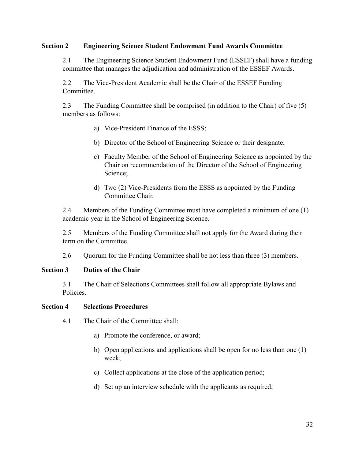#### **Section 2 Engineering Science Student Endowment Fund Awards Committee**

2.1 The Engineering Science Student Endowment Fund (ESSEF) shall have a funding committee that manages the adjudication and administration of the ESSEF Awards.

2.2 The Vice-President Academic shall be the Chair of the ESSEF Funding Committee.

2.3 The Funding Committee shall be comprised (in addition to the Chair) of five (5) members as follows:

- a) Vice-President Finance of the ESSS;
- b) Director of the School of Engineering Science or their designate;
- c) Faculty Member of the School of Engineering Science as appointed by the Chair on recommendation of the Director of the School of Engineering Science;
- d) Two (2) Vice-Presidents from the ESSS as appointed by the Funding Committee Chair.

2.4 Members of the Funding Committee must have completed a minimum of one (1) academic year in the School of Engineering Science.

2.5 Members of the Funding Committee shall not apply for the Award during their term on the Committee.

2.6 Quorum for the Funding Committee shall be not less than three (3) members.

#### **Section 3 Duties of the Chair**

3.1 The Chair of Selections Committees shall follow all appropriate Bylaws and Policies.

#### **Section 4 Selections Procedures**

- 4.1 The Chair of the Committee shall:
	- a) Promote the conference, or award;
	- b) Open applications and applications shall be open for no less than one (1) week;
	- c) Collect applications at the close of the application period;
	- d) Set up an interview schedule with the applicants as required;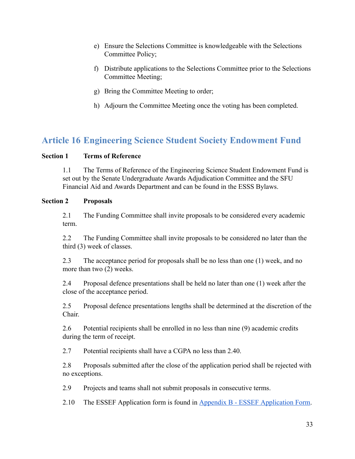- e) Ensure the Selections Committee is knowledgeable with the Selections Committee Policy;
- f) Distribute applications to the Selections Committee prior to the Selections Committee Meeting;
- g) Bring the Committee Meeting to order;
- h) Adjourn the Committee Meeting once the voting has been completed.

## <span id="page-32-0"></span>**Article 16 Engineering Science Student Society Endowment Fund**

#### **Section 1 Terms of Reference**

1.1 The Terms of Reference of the Engineering Science Student Endowment Fund is set out by the Senate Undergraduate Awards Adjudication Committee and the SFU Financial Aid and Awards Department and can be found in the ESSS Bylaws.

#### **Section 2 Proposals**

2.1 The Funding Committee shall invite proposals to be considered every academic term.

2.2 The Funding Committee shall invite proposals to be considered no later than the third (3) week of classes.

2.3 The acceptance period for proposals shall be no less than one (1) week, and no more than two (2) weeks.

2.4 Proposal defence presentations shall be held no later than one (1) week after the close of the acceptance period.

2.5 Proposal defence presentations lengths shall be determined at the discretion of the Chair.

2.6 Potential recipients shall be enrolled in no less than nine (9) academic credits during the term of receipt.

2.7 Potential recipients shall have a CGPA no less than 2.40.

2.8 Proposals submitted after the close of the application period shall be rejected with no exceptions.

2.9 Projects and teams shall not submit proposals in consecutive terms.

2.10 The ESSEF Application form is found in [Appendix B - ESSEF Application Form .](#page-40-0)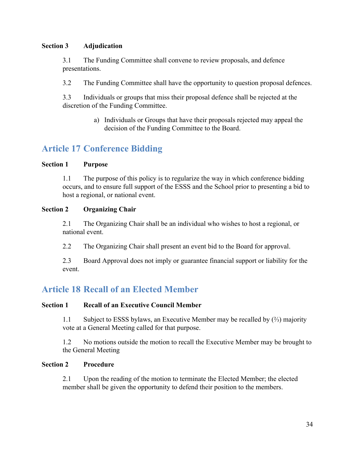#### **Section 3 Adjudication**

3.1 The Funding Committee shall convene to review proposals, and defence presentations.

3.2 The Funding Committee shall have the opportunity to question proposal defences.

3.3 Individuals or groups that miss their proposal defence shall be rejected at the discretion of the Funding Committee.

> a) Individuals or Groups that have their proposals rejected may appeal the decision of the Funding Committee to the Board.

## <span id="page-33-0"></span>**Article 17 Conference Bidding**

#### **Section 1 Purpose**

1.1 The purpose of this policy is to regularize the way in which conference bidding occurs, and to ensure full support of the ESSS and the School prior to presenting a bid to host a regional, or national event.

#### **Section 2 Organizing Chair**

2.1 The Organizing Chair shall be an individual who wishes to host a regional, or national event.

2.2 The Organizing Chair shall present an event bid to the Board for approval.

2.3 Board Approval does not imply or guarantee financial support or liability for the event.

## <span id="page-33-1"></span>**Article 18 Recall of an Elected Member**

#### **Section 1 Recall of an Executive Council Member**

1.1 Subject to ESSS bylaws, an Executive Member may be recalled by (⅔) majority vote at a General Meeting called for that purpose.

1.2 No motions outside the motion to recall the Executive Member may be brought to the General Meeting

#### **Section 2 Procedure**

2.1 Upon the reading of the motion to terminate the Elected Member; the elected member shall be given the opportunity to defend their position to the members.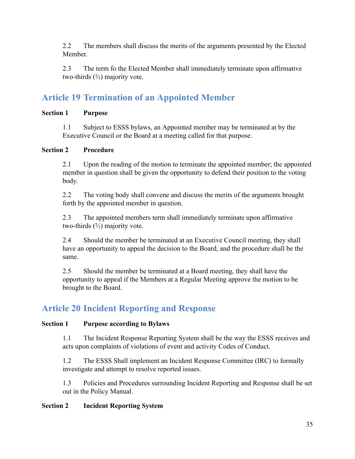2.2 The members shall discuss the merits of the arguments presented by the Elected Member.

2.3 The term fo the Elected Member shall immediately terminate upon affirmative two-thirds (⅔) majority vote.

## <span id="page-34-0"></span>**Article 19 Termination of an Appointed Member**

#### **Section 1 Purpose**

1.1 Subject to ESSS bylaws, an Appointed member may be terminated at by the Executive Council or the Board at a meeting called for that purpose.

#### **Section 2 Procedure**

2.1 Upon the reading of the motion to terminate the appointed member; the appointed member in question shall be given the opportunity to defend their position to the voting body.

2.2 The voting body shall convene and discuss the merits of the arguments brought forth by the appointed member in question.

2.3 The appointed members term shall immediately terminate upon affirmative two-thirds (⅔) majority vote.

2.4 Should the member be terminated at an Executive Council meeting, they shall have an opportunity to appeal the decision to the Board, and the procedure shall be the same.

2.5 Should the member be terminated at a Board meeting, they shall have the opportunity to appeal if the Members at a Regular Meeting approve the motion to be brought to the Board.

## <span id="page-34-1"></span>**Article 20 Incident Reporting and Response**

#### **Section 1 Purpose according to Bylaws**

1.1 The Incident Response Reporting System shall be the way the ESSS receives and acts upon complaints of violations of event and activity Codes of Conduct.

1.2 The ESSS Shall implement an Incident Response Committee (IRC) to formally investigate and attempt to resolve reported issues.

1.3 Policies and Procedures surrounding Incident Reporting and Response shall be set out in the Policy Manual.

#### **Section 2 Incident Reporting System**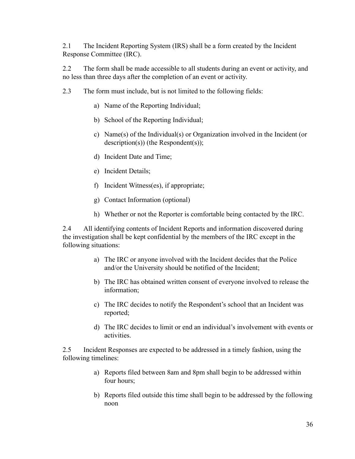2.1 The Incident Reporting System (IRS) shall be a form created by the Incident Response Committee (IRC).

2.2 The form shall be made accessible to all students during an event or activity, and no less than three days after the completion of an event or activity.

- 2.3 The form must include, but is not limited to the following fields:
	- a) Name of the Reporting Individual;
	- b) School of the Reporting Individual;
	- c) Name(s) of the Individual(s) or Organization involved in the Incident (or description(s)) (the Respondent(s));
	- d) Incident Date and Time;
	- e) Incident Details;
	- f) Incident Witness(es), if appropriate;
	- g) Contact Information (optional)
	- h) Whether or not the Reporter is comfortable being contacted by the IRC.

2.4 All identifying contents of Incident Reports and information discovered during the investigation shall be kept confidential by the members of the IRC except in the following situations:

- a) The IRC or anyone involved with the Incident decides that the Police and/or the University should be notified of the Incident;
- b) The IRC has obtained written consent of everyone involved to release the information;
- c) The IRC decides to notify the Respondent's school that an Incident was reported;
- d) The IRC decides to limit or end an individual's involvement with events or activities.

2.5 Incident Responses are expected to be addressed in a timely fashion, using the following timelines:

- a) Reports filed between 8am and 8pm shall begin to be addressed within four hours;
- b) Reports filed outside this time shall begin to be addressed by the following noon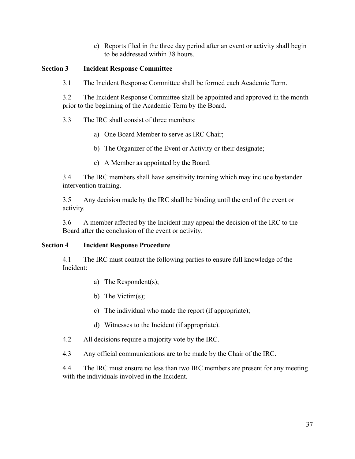c) Reports filed in the three day period after an event or activity shall begin to be addressed within 38 hours.

#### **Section 3 Incident Response Committee**

3.1 The Incident Response Committee shall be formed each Academic Term.

3.2 The Incident Response Committee shall be appointed and approved in the month prior to the beginning of the Academic Term by the Board.

3.3 The IRC shall consist of three members:

- a) One Board Member to serve as IRC Chair;
- b) The Organizer of the Event or Activity or their designate;
- c) A Member as appointed by the Board.

3.4 The IRC members shall have sensitivity training which may include bystander intervention training.

3.5 Any decision made by the IRC shall be binding until the end of the event or activity.

3.6 A member affected by the Incident may appeal the decision of the IRC to the Board after the conclusion of the event or activity.

#### **Section 4 Incident Response Procedure**

4.1 The IRC must contact the following parties to ensure full knowledge of the Incident:

- a) The Respondent(s);
- b) The Victim(s);
- c) The individual who made the report (if appropriate);
- d) Witnesses to the Incident (if appropriate).
- 4.2 All decisions require a majority vote by the IRC.
- 4.3 Any official communications are to be made by the Chair of the IRC.

4.4 The IRC must ensure no less than two IRC members are present for any meeting with the individuals involved in the Incident.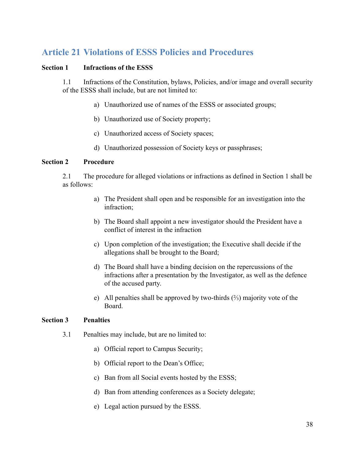## <span id="page-37-0"></span>**Article 21 Violations of ESSS Policies and Procedures**

#### **Section 1 Infractions of the ESSS**

1.1 Infractions of the Constitution, bylaws, Policies, and/or image and overall security of the ESSS shall include, but are not limited to:

- a) Unauthorized use of names of the ESSS or associated groups;
- b) Unauthorized use of Society property;
- c) Unauthorized access of Society spaces;
- d) Unauthorized possession of Society keys or passphrases;

#### **Section 2 Procedure**

2.1 The procedure for alleged violations or infractions as defined in Section 1 shall be as follows:

- a) The President shall open and be responsible for an investigation into the infraction;
- b) The Board shall appoint a new investigator should the President have a conflict of interest in the infraction
- c) Upon completion of the investigation; the Executive shall decide if the allegations shall be brought to the Board;
- d) The Board shall have a binding decision on the repercussions of the infractions after a presentation by the Investigator, as well as the defence of the accused party.
- e) All penalties shall be approved by two-thirds (⅔) majority vote of the Board.

#### **Section 3 Penalties**

- 3.1 Penalties may include, but are no limited to:
	- a) Official report to Campus Security;
	- b) Official report to the Dean's Office;
	- c) Ban from all Social events hosted by the ESSS;
	- d) Ban from attending conferences as a Society delegate;
	- e) Legal action pursued by the ESSS.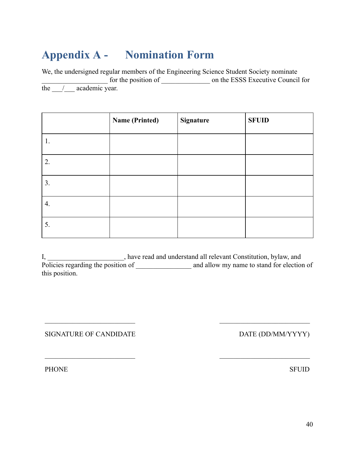## <span id="page-39-0"></span>**Appendix A - Nomination Form**

We, the undersigned regular members of the Engineering Science Student Society nominate for the position of \_\_\_\_\_\_\_\_\_\_\_\_\_\_\_\_\_\_ on the ESSS Executive Council for the / academic year.

|    | <b>Name (Printed)</b> | Signature | <b>SFUID</b> |
|----|-----------------------|-----------|--------------|
| 1. |                       |           |              |
| 2. |                       |           |              |
| 3. |                       |           |              |
| 4. |                       |           |              |
| 5. |                       |           |              |

I, \_\_\_\_\_\_\_\_\_\_\_\_\_\_\_\_\_\_\_\_\_\_, have read and understand all relevant Constitution, bylaw, and Policies regarding the position of \_\_\_\_\_\_\_\_\_\_\_\_\_\_\_\_ and allow my name to stand for election of this position.

SIGNATURE OF CANDIDATE

 $\mathcal{L}_\text{max}$  , where  $\mathcal{L}_\text{max}$  and  $\mathcal{L}_\text{max}$ 

 $\mathcal{L}_\text{max}$  , where  $\mathcal{L}_\text{max}$  and  $\mathcal{L}_\text{max}$ 

DATE (DD/MM/YYYY)

 $\mathcal{L}_\text{max}$  , where  $\mathcal{L}_\text{max}$  and  $\mathcal{L}_\text{max}$ 

 $\mathcal{L}_\text{max}$  , where  $\mathcal{L}_\text{max}$  and  $\mathcal{L}_\text{max}$ 

PHONE

SFUID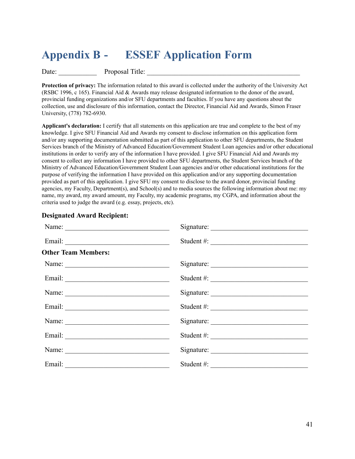## <span id="page-40-0"></span>**Appendix B - ESSEF Application Form**

Date: Proposal Title:

**Protection of privacy:** The information related to this award is collected under the authority of the University Act (RSBC 1996, c 165). Financial Aid & Awards may release designated information to the donor of the award, provincial funding organizations and/or SFU departments and faculties. If you have any questions about the collection, use and disclosure of this information, contact the Director, Financial Aid and Awards, Simon Fraser University, (778) 782-6930.

**Applicant's declaration:** I certify that all statements on this application are true and complete to the best of my knowledge. I give SFU Financial Aid and Awards my consent to disclose information on this application form and/or any supporting documentation submitted as part of this application to other SFU departments, the Student Services branch of the Ministry of Advanced Education/Government Student Loan agencies and/or other educational institutions in order to verify any of the information I have provided. I give SFU Financial Aid and Awards my consent to collect any information I have provided to other SFU departments, the Student Services branch of the Ministry of Advanced Education/Government Student Loan agencies and/or other educational institutions for the purpose of verifying the information I have provided on this application and/or any supporting documentation provided as part of this application. I give SFU my consent to disclose to the award donor, provincial funding agencies, my Faculty, Department(s), and School(s) and to media sources the following information about me: my name, my award, my award amount, my Faculty, my academic programs, my CGPA, and information about the criteria used to judge the award (e.g. essay, projects, etc).

|                            | Signature:                 |
|----------------------------|----------------------------|
|                            | Student #:                 |
| <b>Other Team Members:</b> |                            |
|                            |                            |
|                            | Student $\#$ :             |
|                            |                            |
|                            | Student #: $\frac{1}{2}$   |
|                            |                            |
|                            | Student $\#$ :             |
|                            |                            |
|                            | Student #: $\qquad \qquad$ |

#### **Designated Award Recipient:**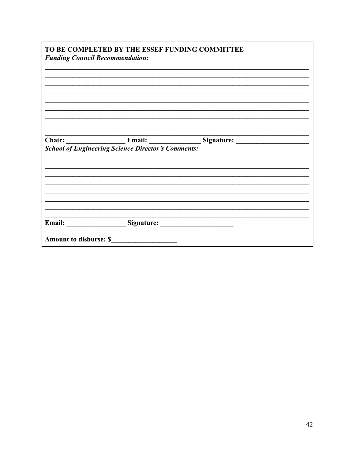| TO BE COMPLETED BY THE ESSEF FUNDING COMMITTEE<br><b>Funding Council Recommendation:</b> |                                                           |                                 |  |
|------------------------------------------------------------------------------------------|-----------------------------------------------------------|---------------------------------|--|
|                                                                                          |                                                           |                                 |  |
|                                                                                          |                                                           |                                 |  |
|                                                                                          |                                                           |                                 |  |
|                                                                                          |                                                           |                                 |  |
|                                                                                          |                                                           |                                 |  |
|                                                                                          |                                                           |                                 |  |
|                                                                                          |                                                           | Chair: Email: Email: Signature: |  |
|                                                                                          | <b>School of Engineering Science Director's Comments:</b> |                                 |  |
|                                                                                          |                                                           |                                 |  |
|                                                                                          |                                                           |                                 |  |
|                                                                                          |                                                           |                                 |  |
|                                                                                          |                                                           |                                 |  |
|                                                                                          |                                                           |                                 |  |
|                                                                                          |                                                           |                                 |  |
|                                                                                          | Email: Signature:                                         |                                 |  |
| <b>Amount to disburse: \$</b>                                                            |                                                           |                                 |  |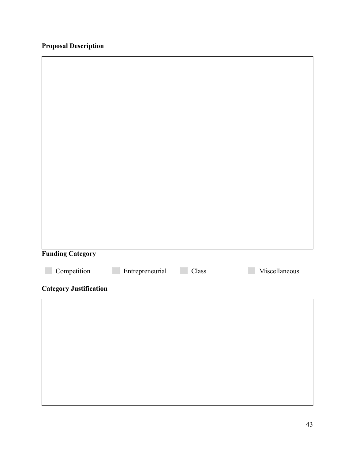## **Proposal Description**

 $\mathsf{r}$ 

| <b>Funding Category</b>       |                 |       |               |
|-------------------------------|-----------------|-------|---------------|
| Competition                   | Entrepreneurial | Class | Miscellaneous |
| <b>Category Justification</b> |                 |       |               |
|                               |                 |       |               |
|                               |                 |       |               |
|                               |                 |       |               |
|                               |                 |       |               |
|                               |                 |       |               |
|                               |                 |       |               |

٦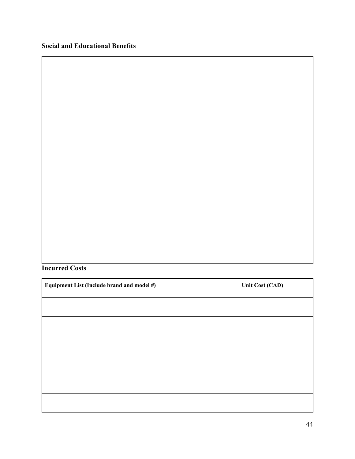#### **Incurred Costs**

| Equipment List (Include brand and model #) | Unit Cost (CAD) |
|--------------------------------------------|-----------------|
|                                            |                 |
|                                            |                 |
|                                            |                 |
|                                            |                 |
|                                            |                 |
|                                            |                 |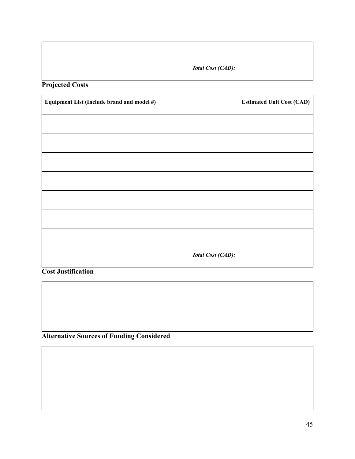| <b>Total Cost (CAD):</b> |  |
|--------------------------|--|

**Projected Costs**

| Equipment List (Include brand and model #) | <b>Estimated Unit Cost (CAD)</b> |
|--------------------------------------------|----------------------------------|
|                                            |                                  |
|                                            |                                  |
|                                            |                                  |
|                                            |                                  |
|                                            |                                  |
|                                            |                                  |
|                                            |                                  |
| Total Cost (CAD):                          |                                  |

**Cost Justification**

**Alternative Sources of Funding Considered**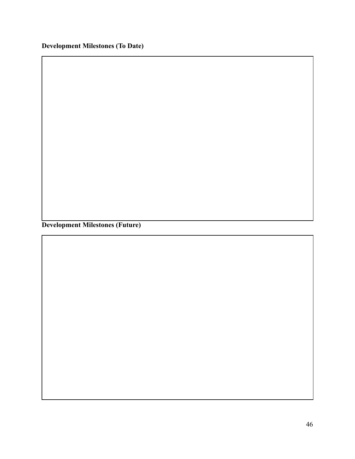**Development Milestones (Future)**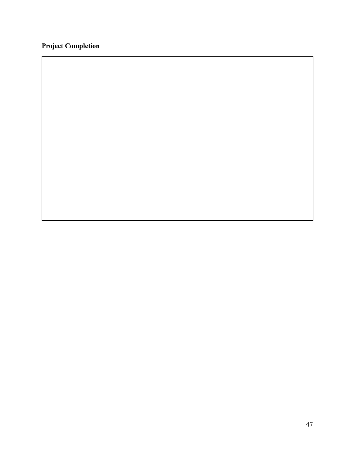## **Project Completion**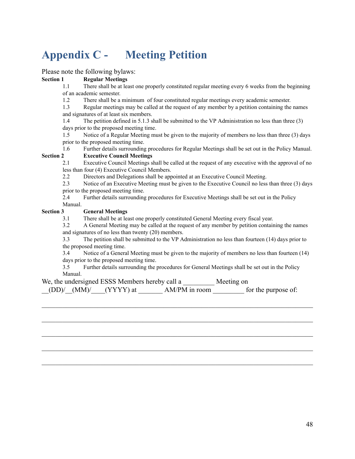## <span id="page-47-0"></span>**Appendix C - Meeting Petition**

Please note the following bylaws:

#### **Section 1 Regular Meetings**

- 1.1 There shall be at least one properly constituted regular meeting every 6 weeks from the beginning of an academic semester.
- 1.2 There shall be a minimum of four constituted regular meetings every academic semester.

1.3 Regular meetings may be called at the request of any member by a petition containing the names and signatures of at least six members.

1.4 The petition defined in 5.1.3 shall be submitted to the VP Administration no less than three (3) days prior to the proposed meeting time.

1.5 Notice of a Regular Meeting must be given to the majority of members no less than three (3) days prior to the proposed meeting time.

1.6 Further details surrounding procedures for Regular Meetings shall be set out in the Policy Manual. **Section 2 Executive Council Meetings**

2.1 Executive Council Meetings shall be called at the request of any executive with the approval of no less than four (4) Executive Council Members.

- 2.2 Directors and Delegations shall be appointed at an Executive Council Meeting.
- 2.3 Notice of an Executive Meeting must be given to the Executive Council no less than three (3) days prior to the proposed meeting time.

2.4 Further details surrounding procedures for Executive Meetings shall be set out in the Policy Manual.

#### **Section 3 General Meetings**

3.1 There shall be at least one properly constituted General Meeting every fiscal year.

3.2 A General Meeting may be called at the request of any member by petition containing the names and signatures of no less than twenty (20) members.

3.3 The petition shall be submitted to the VP Administration no less than fourteen (14) days prior to the proposed meeting time.

3.4 Notice of a General Meeting must be given to the majority of members no less than fourteen (14) days prior to the proposed meeting time.

3.5 Further details surrounding the procedures for General Meetings shall be set out in the Policy Manual.

 $\mathcal{L}_\mathcal{L} = \{ \mathcal{L}_\mathcal{L} = \{ \mathcal{L}_\mathcal{L} = \{ \mathcal{L}_\mathcal{L} = \{ \mathcal{L}_\mathcal{L} = \{ \mathcal{L}_\mathcal{L} = \{ \mathcal{L}_\mathcal{L} = \{ \mathcal{L}_\mathcal{L} = \{ \mathcal{L}_\mathcal{L} = \{ \mathcal{L}_\mathcal{L} = \{ \mathcal{L}_\mathcal{L} = \{ \mathcal{L}_\mathcal{L} = \{ \mathcal{L}_\mathcal{L} = \{ \mathcal{L}_\mathcal{L} = \{ \mathcal{L}_\mathcal{$ 

 $\mathcal{L}_\mathcal{L} = \{ \mathcal{L}_\mathcal{L} = \{ \mathcal{L}_\mathcal{L} = \{ \mathcal{L}_\mathcal{L} = \{ \mathcal{L}_\mathcal{L} = \{ \mathcal{L}_\mathcal{L} = \{ \mathcal{L}_\mathcal{L} = \{ \mathcal{L}_\mathcal{L} = \{ \mathcal{L}_\mathcal{L} = \{ \mathcal{L}_\mathcal{L} = \{ \mathcal{L}_\mathcal{L} = \{ \mathcal{L}_\mathcal{L} = \{ \mathcal{L}_\mathcal{L} = \{ \mathcal{L}_\mathcal{L} = \{ \mathcal{L}_\mathcal{$ 

 $\mathcal{L}_\mathcal{L} = \{ \mathcal{L}_\mathcal{L} = \{ \mathcal{L}_\mathcal{L} = \{ \mathcal{L}_\mathcal{L} = \{ \mathcal{L}_\mathcal{L} = \{ \mathcal{L}_\mathcal{L} = \{ \mathcal{L}_\mathcal{L} = \{ \mathcal{L}_\mathcal{L} = \{ \mathcal{L}_\mathcal{L} = \{ \mathcal{L}_\mathcal{L} = \{ \mathcal{L}_\mathcal{L} = \{ \mathcal{L}_\mathcal{L} = \{ \mathcal{L}_\mathcal{L} = \{ \mathcal{L}_\mathcal{L} = \{ \mathcal{L}_\mathcal{$ 

 $\mathcal{L}_\mathcal{L} = \{ \mathcal{L}_\mathcal{L} = \{ \mathcal{L}_\mathcal{L} = \{ \mathcal{L}_\mathcal{L} = \{ \mathcal{L}_\mathcal{L} = \{ \mathcal{L}_\mathcal{L} = \{ \mathcal{L}_\mathcal{L} = \{ \mathcal{L}_\mathcal{L} = \{ \mathcal{L}_\mathcal{L} = \{ \mathcal{L}_\mathcal{L} = \{ \mathcal{L}_\mathcal{L} = \{ \mathcal{L}_\mathcal{L} = \{ \mathcal{L}_\mathcal{L} = \{ \mathcal{L}_\mathcal{L} = \{ \mathcal{L}_\mathcal{$ 

 $\mathcal{L}_\mathcal{L} = \{ \mathcal{L}_\mathcal{L} = \{ \mathcal{L}_\mathcal{L} = \{ \mathcal{L}_\mathcal{L} = \{ \mathcal{L}_\mathcal{L} = \{ \mathcal{L}_\mathcal{L} = \{ \mathcal{L}_\mathcal{L} = \{ \mathcal{L}_\mathcal{L} = \{ \mathcal{L}_\mathcal{L} = \{ \mathcal{L}_\mathcal{L} = \{ \mathcal{L}_\mathcal{L} = \{ \mathcal{L}_\mathcal{L} = \{ \mathcal{L}_\mathcal{L} = \{ \mathcal{L}_\mathcal{L} = \{ \mathcal{L}_\mathcal{$ 

| We, the undersigned ESSS Members hereby call a                                                         |                 | Meeting on          |  |
|--------------------------------------------------------------------------------------------------------|-----------------|---------------------|--|
| $\underline{\hspace{2cm}}$ (DD)/ $\underline{\hspace{2cm}}$ (MM)/ $\underline{\hspace{2cm}}$ (YYYY) at | $AM/PM$ in room | for the purpose of: |  |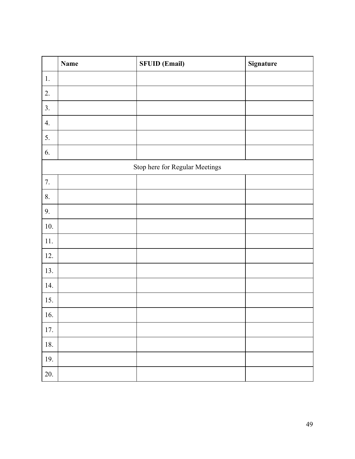|          | <b>Name</b> | <b>SFUID (Email)</b>           | Signature |
|----------|-------------|--------------------------------|-----------|
| $1.$     |             |                                |           |
| 2.       |             |                                |           |
| 3.       |             |                                |           |
| 4.       |             |                                |           |
| 5.       |             |                                |           |
| 6.       |             |                                |           |
|          |             | Stop here for Regular Meetings |           |
| 7.       |             |                                |           |
| 8.       |             |                                |           |
| 9.       |             |                                |           |
| $10.$    |             |                                |           |
| $11. \,$ |             |                                |           |
| 12.      |             |                                |           |
| 13.      |             |                                |           |
| 14.      |             |                                |           |
| 15.      |             |                                |           |
| 16.      |             |                                |           |
| $17. \,$ |             |                                |           |
| $18. \,$ |             |                                |           |
| 19.      |             |                                |           |
| 20.      |             |                                |           |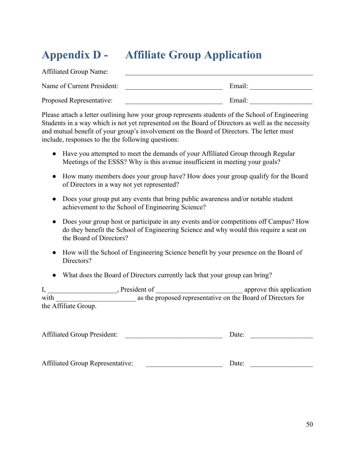## <span id="page-49-0"></span>**Appendix D - Affiliate Group Application**

| <b>Affiliated Group Name:</b> |        |
|-------------------------------|--------|
| Name of Current President:    | Email: |
| Proposed Representative:      | Email: |

Please attach a letter outlining how your group represents students of the School of Engineering Students in a way which is not yet represented on the Board of Directors as well as the necessity and mutual benefit of your group's involvement on the Board of Directors. The letter must include, responses to the the following questions:

- Have you attempted to meet the demands of your Affiliated Group through Regular Meetings of the ESSS? Why is this avenue insufficient in meeting your goals?
- How many members does your group have? How does your group qualify for the Board of Directors in a way not yet represented?
- Does your group put any events that bring public awareness and/or notable student achievement to the School of Engineering Science?
- Does your group host or participate in any events and/or competitions off Campus? How do they benefit the School of Engineering Science and why would this require a seat on the Board of Directors?
- How will the School of Engineering Science benefit by your presence on the Board of Directors?
- What does the Board of Directors currently lack that your group can bring?

|                      | President of |                                                              | approve this application |
|----------------------|--------------|--------------------------------------------------------------|--------------------------|
| with                 |              | as the proposed representative on the Board of Directors for |                          |
| the Affiliate Group. |              |                                                              |                          |

| <b>Affiliated Group President:</b> |  | Date: |
|------------------------------------|--|-------|
|------------------------------------|--|-------|

| <b>Affiliated Group Representative:</b><br>Date: |
|--------------------------------------------------|
|                                                  |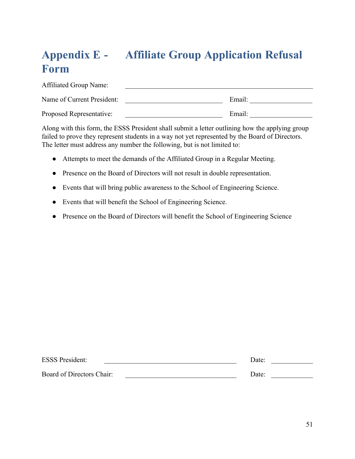## <span id="page-50-0"></span>**Appendix E - Affiliate Group Application Refusal Form**

| <b>Affiliated Group Name:</b> |        |
|-------------------------------|--------|
| Name of Current President:    | Email: |
| Proposed Representative:      | Email: |

Along with this form, the ESSS President shall submit a letter outlining how the applying group failed to prove they represent students in a way not yet represented by the Board of Directors. The letter must address any number the following, but is not limited to:

- Attempts to meet the demands of the Affiliated Group in a Regular Meeting.
- Presence on the Board of Directors will not result in double representation.
- Events that will bring public awareness to the School of Engineering Science.
- Events that will benefit the School of Engineering Science.
- Presence on the Board of Directors will benefit the School of Engineering Science

| <b>ESSS President:</b>    | Date: |  |
|---------------------------|-------|--|
| Board of Directors Chair: | Date: |  |